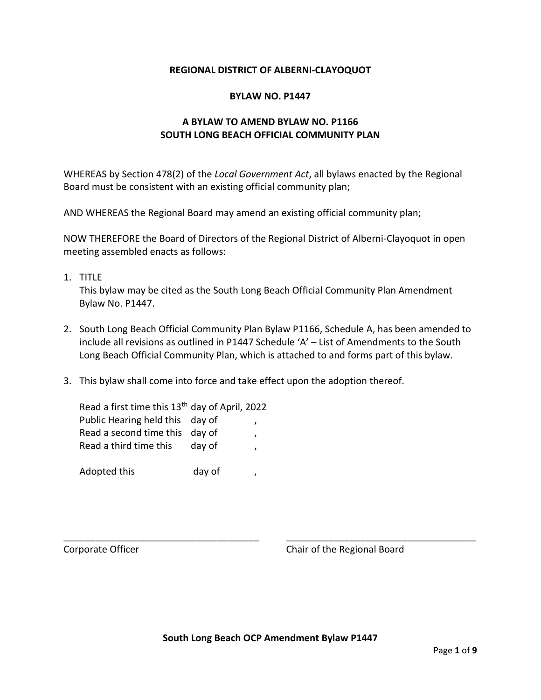### **REGIONAL DISTRICT OF ALBERNI-CLAYOQUOT**

### **BYLAW NO. P1447**

## **A BYLAW TO AMEND BYLAW NO. P1166 SOUTH LONG BEACH OFFICIAL COMMUNITY PLAN**

WHEREAS by Section 478(2) of the *Local Government Act*, all bylaws enacted by the Regional Board must be consistent with an existing official community plan;

AND WHEREAS the Regional Board may amend an existing official community plan;

NOW THEREFORE the Board of Directors of the Regional District of Alberni-Clayoquot in open meeting assembled enacts as follows:

1. TITLE

This bylaw may be cited as the South Long Beach Official Community Plan Amendment Bylaw No. P1447.

- 2. South Long Beach Official Community Plan Bylaw P1166, Schedule A, has been amended to include all revisions as outlined in P1447 Schedule 'A' – List of Amendments to the South Long Beach Official Community Plan, which is attached to and forms part of this bylaw.
- 3. This bylaw shall come into force and take effect upon the adoption thereof.

| Read a first time this 13 <sup>th</sup> day of April, 2022 |        |  |
|------------------------------------------------------------|--------|--|
| Public Hearing held this day of                            |        |  |
| Read a second time this day of                             |        |  |
| Read a third time this                                     | day of |  |
|                                                            |        |  |
| Adopted this                                               | day of |  |

Corporate Officer Corporate Officer Corporate Officer

\_\_\_\_\_\_\_\_\_\_\_\_\_\_\_\_\_\_\_\_\_\_\_\_\_\_\_\_\_\_\_\_\_\_\_\_\_ \_\_\_\_\_\_\_\_\_\_\_\_\_\_\_\_\_\_\_\_\_\_\_\_\_\_\_\_\_\_\_\_\_\_\_\_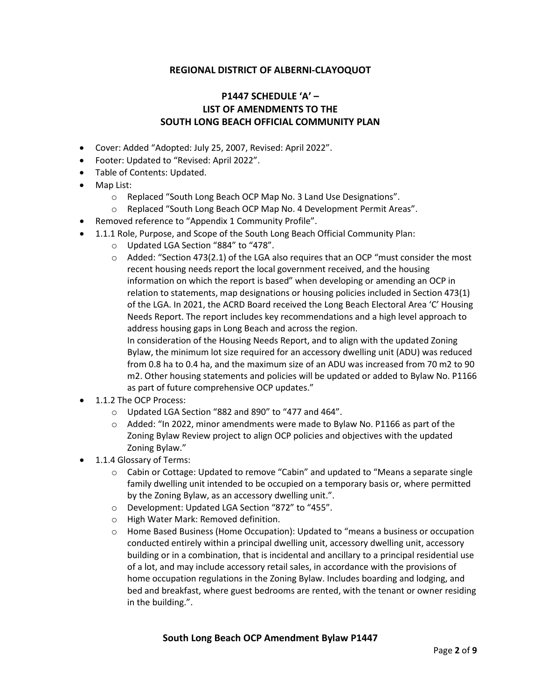## **REGIONAL DISTRICT OF ALBERNI-CLAYOQUOT**

# **P1447 SCHEDULE 'A' – LIST OF AMENDMENTS TO THE SOUTH LONG BEACH OFFICIAL COMMUNITY PLAN**

- Cover: Added "Adopted: July 25, 2007, Revised: April 2022".
- Footer: Updated to "Revised: April 2022".
- Table of Contents: Updated.
- Map List:
	- o Replaced "South Long Beach OCP Map No. 3 Land Use Designations".
	- o Replaced "South Long Beach OCP Map No. 4 Development Permit Areas".
- Removed reference to "Appendix 1 Community Profile".
- 1.1.1 Role, Purpose, and Scope of the South Long Beach Official Community Plan:
	- o Updated LGA Section "884" to "478".
	- $\circ$  Added: "Section 473(2.1) of the LGA also requires that an OCP "must consider the most recent housing needs report the local government received, and the housing information on which the report is based" when developing or amending an OCP in relation to statements, map designations or housing policies included in Section 473(1) of the LGA. In 2021, the ACRD Board received the Long Beach Electoral Area 'C' Housing Needs Report. The report includes key recommendations and a high level approach to address housing gaps in Long Beach and across the region.

In consideration of the Housing Needs Report, and to align with the updated Zoning Bylaw, the minimum lot size required for an accessory dwelling unit (ADU) was reduced from 0.8 ha to 0.4 ha, and the maximum size of an ADU was increased from 70 m2 to 90 m2. Other housing statements and policies will be updated or added to Bylaw No. P1166 as part of future comprehensive OCP updates."

- 1.1.2 The OCP Process:
	- o Updated LGA Section "882 and 890" to "477 and 464".
	- $\circ$  Added: "In 2022, minor amendments were made to Bylaw No. P1166 as part of the Zoning Bylaw Review project to align OCP policies and objectives with the updated Zoning Bylaw."
- 1.1.4 Glossary of Terms:
	- $\circ$  Cabin or Cottage: Updated to remove "Cabin" and updated to "Means a separate single family dwelling unit intended to be occupied on a temporary basis or, where permitted by the Zoning Bylaw, as an accessory dwelling unit.".
	- o Development: Updated LGA Section "872" to "455".
	- o High Water Mark: Removed definition.
	- o Home Based Business (Home Occupation): Updated to "means a business or occupation conducted entirely within a principal dwelling unit, accessory dwelling unit, accessory building or in a combination, that is incidental and ancillary to a principal residential use of a lot, and may include accessory retail sales, in accordance with the provisions of home occupation regulations in the Zoning Bylaw. Includes boarding and lodging, and bed and breakfast, where guest bedrooms are rented, with the tenant or owner residing in the building.".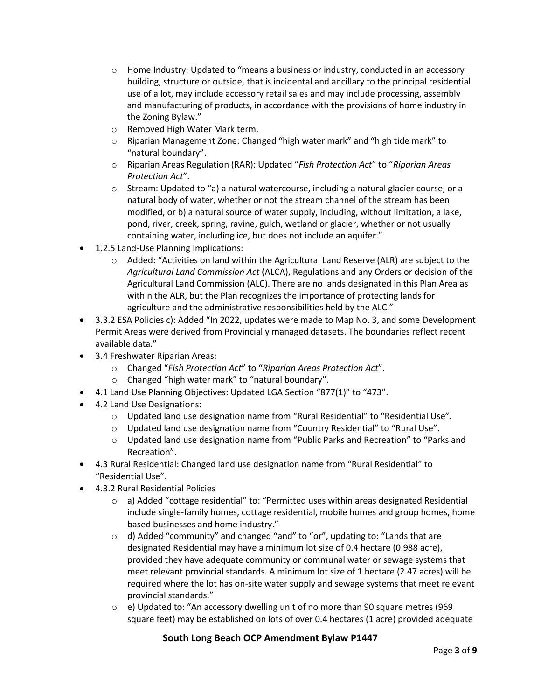- $\circ$  Home Industry: Updated to "means a business or industry, conducted in an accessory building, structure or outside, that is incidental and ancillary to the principal residential use of a lot, may include accessory retail sales and may include processing, assembly and manufacturing of products, in accordance with the provisions of home industry in the Zoning Bylaw."
- o Removed High Water Mark term.
- o Riparian Management Zone: Changed "high water mark" and "high tide mark" to "natural boundary".
- o Riparian Areas Regulation (RAR): Updated "*Fish Protection Act*" to "*Riparian Areas Protection Act*".
- $\circ$  Stream: Updated to "a) a natural watercourse, including a natural glacier course, or a natural body of water, whether or not the stream channel of the stream has been modified, or b) a natural source of water supply, including, without limitation, a lake, pond, river, creek, spring, ravine, gulch, wetland or glacier, whether or not usually containing water, including ice, but does not include an aquifer."
- 1.2.5 Land-Use Planning Implications:
	- o Added: "Activities on land within the Agricultural Land Reserve (ALR) are subject to the *Agricultural Land Commission Act* (ALCA), Regulations and any Orders or decision of the Agricultural Land Commission (ALC). There are no lands designated in this Plan Area as within the ALR, but the Plan recognizes the importance of protecting lands for agriculture and the administrative responsibilities held by the ALC."
- 3.3.2 ESA Policies c): Added "In 2022, updates were made to Map No. 3, and some Development Permit Areas were derived from Provincially managed datasets. The boundaries reflect recent available data."
- 3.4 Freshwater Riparian Areas:
	- o Changed "*Fish Protection Act*" to "*Riparian Areas Protection Act*".
	- o Changed "high water mark" to "natural boundary".
- 4.1 Land Use Planning Objectives: Updated LGA Section "877(1)" to "473".
- 4.2 Land Use Designations:
	- $\circ$  Updated land use designation name from "Rural Residential" to "Residential Use".
	- o Updated land use designation name from "Country Residential" to "Rural Use".
	- $\circ$  Updated land use designation name from "Public Parks and Recreation" to "Parks and Recreation".
- 4.3 Rural Residential: Changed land use designation name from "Rural Residential" to "Residential Use".
- 4.3.2 Rural Residential Policies
	- o a) Added "cottage residential" to: "Permitted uses within areas designated Residential include single-family homes, cottage residential, mobile homes and group homes, home based businesses and home industry."
	- o d) Added "community" and changed "and" to "or", updating to: "Lands that are designated Residential may have a minimum lot size of 0.4 hectare (0.988 acre), provided they have adequate community or communal water or sewage systems that meet relevant provincial standards. A minimum lot size of 1 hectare (2.47 acres) will be required where the lot has on-site water supply and sewage systems that meet relevant provincial standards."
	- $\circ$  e) Updated to: "An accessory dwelling unit of no more than 90 square metres (969) square feet) may be established on lots of over 0.4 hectares (1 acre) provided adequate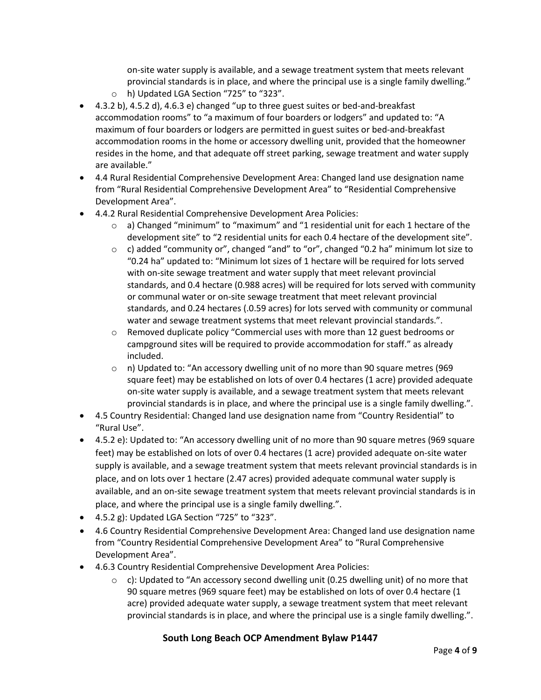on-site water supply is available, and a sewage treatment system that meets relevant provincial standards is in place, and where the principal use is a single family dwelling."

- o h) Updated LGA Section "725" to "323".
- 4.3.2 b), 4.5.2 d), 4.6.3 e) changed "up to three guest suites or bed-and-breakfast accommodation rooms" to "a maximum of four boarders or lodgers" and updated to: "A maximum of four boarders or lodgers are permitted in guest suites or bed-and-breakfast accommodation rooms in the home or accessory dwelling unit, provided that the homeowner resides in the home, and that adequate off street parking, sewage treatment and water supply are available."
- 4.4 Rural Residential Comprehensive Development Area: Changed land use designation name from "Rural Residential Comprehensive Development Area" to "Residential Comprehensive Development Area".
- 4.4.2 Rural Residential Comprehensive Development Area Policies:
	- $\circ$  a) Changed "minimum" to "maximum" and "1 residential unit for each 1 hectare of the development site" to "2 residential units for each 0.4 hectare of the development site".
	- $\circ$  c) added "community or", changed "and" to "or", changed "0.2 ha" minimum lot size to "0.24 ha" updated to: "Minimum lot sizes of 1 hectare will be required for lots served with on-site sewage treatment and water supply that meet relevant provincial standards, and 0.4 hectare (0.988 acres) will be required for lots served with community or communal water or on-site sewage treatment that meet relevant provincial standards, and 0.24 hectares (.0.59 acres) for lots served with community or communal water and sewage treatment systems that meet relevant provincial standards.".
	- $\circ$  Removed duplicate policy "Commercial uses with more than 12 guest bedrooms or campground sites will be required to provide accommodation for staff." as already included.
	- $\circ$  n) Updated to: "An accessory dwelling unit of no more than 90 square metres (969) square feet) may be established on lots of over 0.4 hectares (1 acre) provided adequate on-site water supply is available, and a sewage treatment system that meets relevant provincial standards is in place, and where the principal use is a single family dwelling.".
- 4.5 Country Residential: Changed land use designation name from "Country Residential" to "Rural Use".
- 4.5.2 e): Updated to: "An accessory dwelling unit of no more than 90 square metres (969 square feet) may be established on lots of over 0.4 hectares (1 acre) provided adequate on-site water supply is available, and a sewage treatment system that meets relevant provincial standards is in place, and on lots over 1 hectare (2.47 acres) provided adequate communal water supply is available, and an on-site sewage treatment system that meets relevant provincial standards is in place, and where the principal use is a single family dwelling.".
- 4.5.2 g): Updated LGA Section "725" to "323".
- 4.6 Country Residential Comprehensive Development Area: Changed land use designation name from "Country Residential Comprehensive Development Area" to "Rural Comprehensive Development Area".
- 4.6.3 Country Residential Comprehensive Development Area Policies:
	- $\circ$  c): Updated to "An accessory second dwelling unit (0.25 dwelling unit) of no more that 90 square metres (969 square feet) may be established on lots of over 0.4 hectare (1 acre) provided adequate water supply, a sewage treatment system that meet relevant provincial standards is in place, and where the principal use is a single family dwelling.".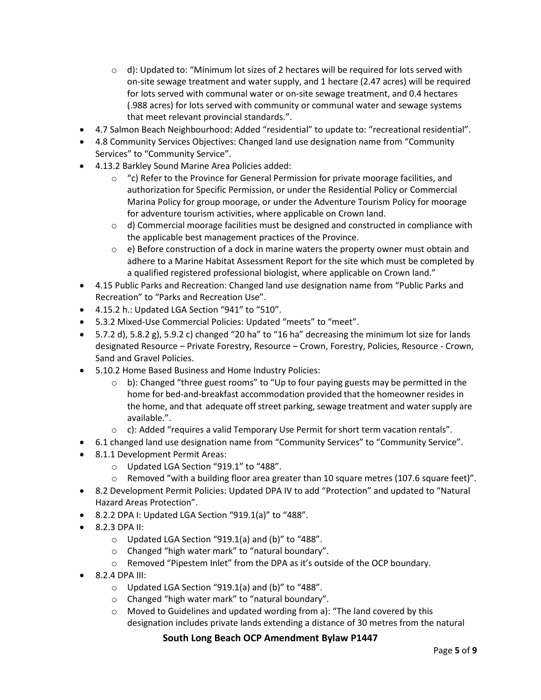- $\circ$  d): Updated to: "Minimum lot sizes of 2 hectares will be required for lots served with on-site sewage treatment and water supply, and 1 hectare (2.47 acres) will be required for lots served with communal water or on-site sewage treatment, and 0.4 hectares (.988 acres) for lots served with community or communal water and sewage systems that meet relevant provincial standards.".
- 4.7 Salmon Beach Neighbourhood: Added "residential" to update to: "recreational residential".
- 4.8 Community Services Objectives: Changed land use designation name from "Community Services" to "Community Service".
- 4.13.2 Barkley Sound Marine Area Policies added:
	- $\circ$  "c) Refer to the Province for General Permission for private moorage facilities, and authorization for Specific Permission, or under the Residential Policy or Commercial Marina Policy for group moorage, or under the Adventure Tourism Policy for moorage for adventure tourism activities, where applicable on Crown land.
	- $\circ$  d) Commercial moorage facilities must be designed and constructed in compliance with the applicable best management practices of the Province.
	- $\circ$  e) Before construction of a dock in marine waters the property owner must obtain and adhere to a Marine Habitat Assessment Report for the site which must be completed by a qualified registered professional biologist, where applicable on Crown land."
- 4.15 Public Parks and Recreation: Changed land use designation name from "Public Parks and Recreation" to "Parks and Recreation Use".
- 4.15.2 h.: Updated LGA Section "941" to "510".
- 5.3.2 Mixed-Use Commercial Policies: Updated "meets" to "meet".
- 5.7.2 d), 5.8.2 g), 5.9.2 c) changed "20 ha" to "16 ha" decreasing the minimum lot size for lands designated Resource – Private Forestry, Resource – Crown, Forestry, Policies, Resource - Crown, Sand and Gravel Policies.
- 5.10.2 Home Based Business and Home Industry Policies:
	- $\circ$  b): Changed "three guest rooms" to "Up to four paying guests may be permitted in the home for bed-and-breakfast accommodation provided that the homeowner resides in the home, and that adequate off street parking, sewage treatment and water supply are available.".
	- $\circ$  c): Added "requires a valid Temporary Use Permit for short term vacation rentals".
- 6.1 changed land use designation name from "Community Services" to "Community Service".
- 8.1.1 Development Permit Areas:
	- o Updated LGA Section "919.1" to "488".
	- $\circ$  Removed "with a building floor area greater than 10 square metres (107.6 square feet)".
- 8.2 Development Permit Policies: Updated DPA IV to add "Protection" and updated to "Natural Hazard Areas Protection".
- 8.2.2 DPA I: Updated LGA Section "919.1(a)" to "488".
- 8.2.3 DPA II:
	- o Updated LGA Section "919.1(a) and (b)" to "488".
	- o Changed "high water mark" to "natural boundary".
	- o Removed "Pipestem Inlet" from the DPA as it's outside of the OCP boundary.
- 8.2.4 DPA III:
	- $\circ$  Updated LGA Section "919.1(a) and (b)" to "488".
	- o Changed "high water mark" to "natural boundary".
	- o Moved to Guidelines and updated wording from a): "The land covered by this designation includes private lands extending a distance of 30 metres from the natural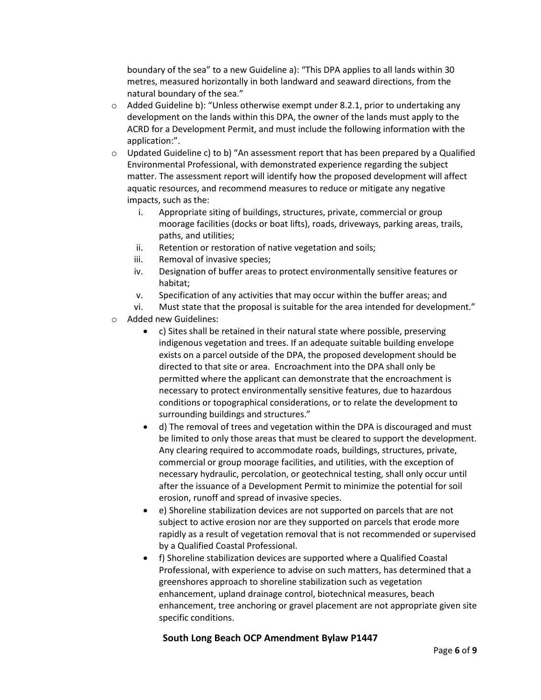boundary of the sea" to a new Guideline a): "This DPA applies to all lands within 30 metres, measured horizontally in both landward and seaward directions, from the natural boundary of the sea."

- $\circ$  Added Guideline b): "Unless otherwise exempt under 8.2.1, prior to undertaking any development on the lands within this DPA, the owner of the lands must apply to the ACRD for a Development Permit, and must include the following information with the application:".
- $\circ$  Updated Guideline c) to b) "An assessment report that has been prepared by a Qualified Environmental Professional, with demonstrated experience regarding the subject matter. The assessment report will identify how the proposed development will affect aquatic resources, and recommend measures to reduce or mitigate any negative impacts, such as the:
	- i. Appropriate siting of buildings, structures, private, commercial or group moorage facilities (docks or boat lifts), roads, driveways, parking areas, trails, paths, and utilities;
	- ii. Retention or restoration of native vegetation and soils;
	- iii. Removal of invasive species;
	- iv. Designation of buffer areas to protect environmentally sensitive features or habitat;
	- v. Specification of any activities that may occur within the buffer areas; and
	- vi. Must state that the proposal is suitable for the area intended for development."
- o Added new Guidelines:
	- c) Sites shall be retained in their natural state where possible, preserving indigenous vegetation and trees. If an adequate suitable building envelope exists on a parcel outside of the DPA, the proposed development should be directed to that site or area. Encroachment into the DPA shall only be permitted where the applicant can demonstrate that the encroachment is necessary to protect environmentally sensitive features, due to hazardous conditions or topographical considerations, or to relate the development to surrounding buildings and structures."
	- d) The removal of trees and vegetation within the DPA is discouraged and must be limited to only those areas that must be cleared to support the development. Any clearing required to accommodate roads, buildings, structures, private, commercial or group moorage facilities, and utilities, with the exception of necessary hydraulic, percolation, or geotechnical testing, shall only occur until after the issuance of a Development Permit to minimize the potential for soil erosion, runoff and spread of invasive species.
	- e) Shoreline stabilization devices are not supported on parcels that are not subject to active erosion nor are they supported on parcels that erode more rapidly as a result of vegetation removal that is not recommended or supervised by a Qualified Coastal Professional.
	- f) Shoreline stabilization devices are supported where a Qualified Coastal Professional, with experience to advise on such matters, has determined that a greenshores approach to shoreline stabilization such as vegetation enhancement, upland drainage control, biotechnical measures, beach enhancement, tree anchoring or gravel placement are not appropriate given site specific conditions.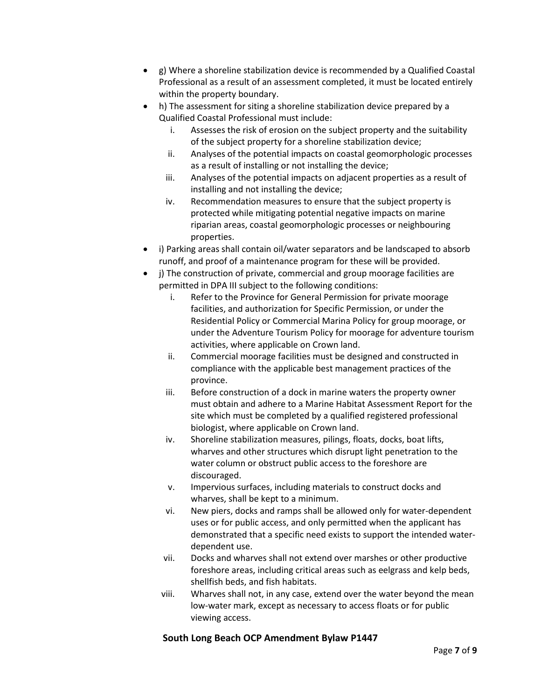- g) Where a shoreline stabilization device is recommended by a Qualified Coastal Professional as a result of an assessment completed, it must be located entirely within the property boundary.
- h) The assessment for siting a shoreline stabilization device prepared by a Qualified Coastal Professional must include:
	- i. Assesses the risk of erosion on the subject property and the suitability of the subject property for a shoreline stabilization device;
	- ii. Analyses of the potential impacts on coastal geomorphologic processes as a result of installing or not installing the device;
	- iii. Analyses of the potential impacts on adjacent properties as a result of installing and not installing the device;
	- iv. Recommendation measures to ensure that the subject property is protected while mitigating potential negative impacts on marine riparian areas, coastal geomorphologic processes or neighbouring properties.
- i) Parking areas shall contain oil/water separators and be landscaped to absorb runoff, and proof of a maintenance program for these will be provided.
- i) The construction of private, commercial and group moorage facilities are permitted in DPA III subject to the following conditions:
	- i. Refer to the Province for General Permission for private moorage facilities, and authorization for Specific Permission, or under the Residential Policy or Commercial Marina Policy for group moorage, or under the Adventure Tourism Policy for moorage for adventure tourism activities, where applicable on Crown land.
	- ii. Commercial moorage facilities must be designed and constructed in compliance with the applicable best management practices of the province.
	- iii. Before construction of a dock in marine waters the property owner must obtain and adhere to a Marine Habitat Assessment Report for the site which must be completed by a qualified registered professional biologist, where applicable on Crown land.
	- iv. Shoreline stabilization measures, pilings, floats, docks, boat lifts, wharves and other structures which disrupt light penetration to the water column or obstruct public access to the foreshore are discouraged.
	- v. Impervious surfaces, including materials to construct docks and wharves, shall be kept to a minimum.
	- vi. New piers, docks and ramps shall be allowed only for water-dependent uses or for public access, and only permitted when the applicant has demonstrated that a specific need exists to support the intended waterdependent use.
	- vii. Docks and wharves shall not extend over marshes or other productive foreshore areas, including critical areas such as eelgrass and kelp beds, shellfish beds, and fish habitats.
	- viii. Wharves shall not, in any case, extend over the water beyond the mean low-water mark, except as necessary to access floats or for public viewing access.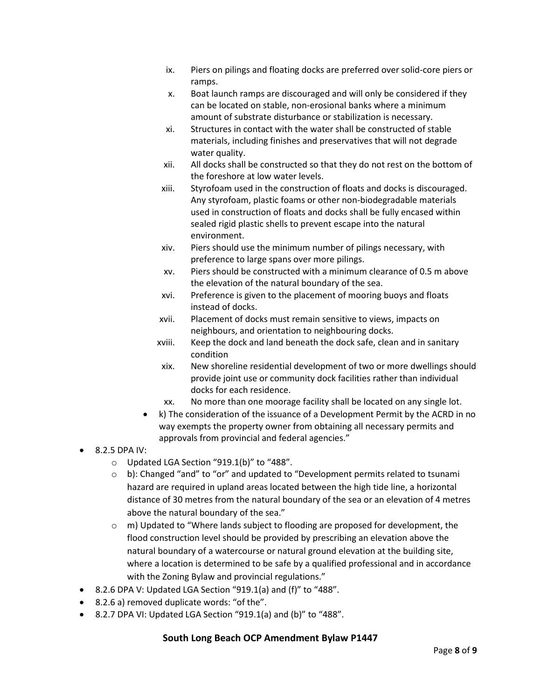- ix. Piers on pilings and floating docks are preferred over solid-core piers or ramps.
- x. Boat launch ramps are discouraged and will only be considered if they can be located on stable, non-erosional banks where a minimum amount of substrate disturbance or stabilization is necessary.
- xi. Structures in contact with the water shall be constructed of stable materials, including finishes and preservatives that will not degrade water quality.
- xii. All docks shall be constructed so that they do not rest on the bottom of the foreshore at low water levels.
- xiii. Styrofoam used in the construction of floats and docks is discouraged. Any styrofoam, plastic foams or other non-biodegradable materials used in construction of floats and docks shall be fully encased within sealed rigid plastic shells to prevent escape into the natural environment.
- xiv. Piers should use the minimum number of pilings necessary, with preference to large spans over more pilings.
- xv. Piers should be constructed with a minimum clearance of 0.5 m above the elevation of the natural boundary of the sea.
- xvi. Preference is given to the placement of mooring buoys and floats instead of docks.
- xvii. Placement of docks must remain sensitive to views, impacts on neighbours, and orientation to neighbouring docks.
- xviii. Keep the dock and land beneath the dock safe, clean and in sanitary condition
- xix. New shoreline residential development of two or more dwellings should provide joint use or community dock facilities rather than individual docks for each residence.
- xx. No more than one moorage facility shall be located on any single lot.
- k) The consideration of the issuance of a Development Permit by the ACRD in no way exempts the property owner from obtaining all necessary permits and approvals from provincial and federal agencies."
- 8.2.5 DPA IV:
	- o Updated LGA Section "919.1(b)" to "488".
	- $\circ$  b): Changed "and" to "or" and updated to "Development permits related to tsunami hazard are required in upland areas located between the high tide line, a horizontal distance of 30 metres from the natural boundary of the sea or an elevation of 4 metres above the natural boundary of the sea."
	- $\circ$  m) Updated to "Where lands subject to flooding are proposed for development, the flood construction level should be provided by prescribing an elevation above the natural boundary of a watercourse or natural ground elevation at the building site, where a location is determined to be safe by a qualified professional and in accordance with the Zoning Bylaw and provincial regulations."
- $\bullet$  8.2.6 DPA V: Updated LGA Section "919.1(a) and (f)" to "488".
- 8.2.6 a) removed duplicate words: "of the".
- 8.2.7 DPA VI: Updated LGA Section "919.1(a) and (b)" to "488".